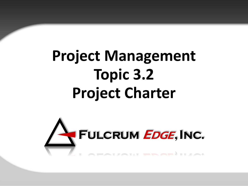# **Project Management Topic 3.2 Project Charter**

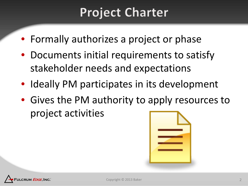# **Project Charter**

- Formally authorizes a project or phase
- Documents initial requirements to satisfy stakeholder needs and expectations
- Ideally PM participates in its development
- Gives the PM authority to apply resources to project activities



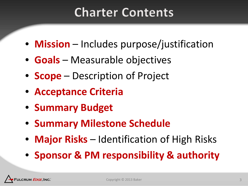# **Charter Contents**

- **Mission**  Includes purpose/justification
- **Goals**  Measurable objectives
- **Scope**  Description of Project
- **Acceptance Criteria**
- **Summary Budget**
- **Summary Milestone Schedule**
- **Major Risks**  Identification of High Risks
- **Sponsor & PM responsibility & authority**

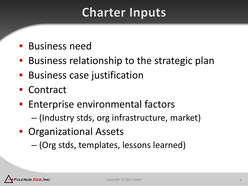# **Charter Inputs**

- Business need
- Business relationship to the strategic plan
- Business case justification
- Contract
- Enterprise environmental factors
	- (Industry stds, org infrastructure, market)
- Organizational Assets
	- (Org stds, templates, lessons learned)

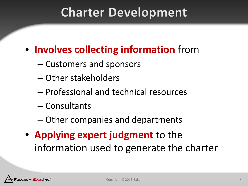## **Charter Development**

#### • **Involves collecting information** from

- Customers and sponsors
- Other stakeholders
- Professional and technical resources
- Consultants
- Other companies and departments
- **Applying expert judgment** to the information used to generate the charter

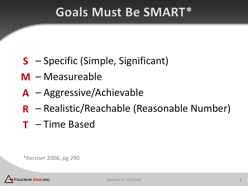### **Goals Must Be SMART\***

- Specific (Simple, Significant) **S**
- Measureable **M**
- Aggressive/Achievable **A**
- Realistic/Reachable (Reasonable Number) **R**
- Time Based **T**

\*Kerzner 2006, pg 290

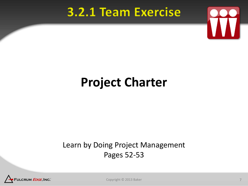#### 3.2.1 Team Exercise



# **Project Charter**

#### Learn by Doing Project Management Pages 52-53



Copyright © 2013 Baker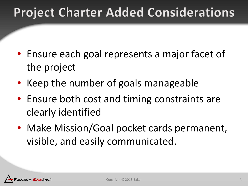# **Project Charter Added Considerations**

- Ensure each goal represents a major facet of the project
- Keep the number of goals manageable
- Ensure both cost and timing constraints are clearly identified
- Make Mission/Goal pocket cards permanent, visible, and easily communicated.